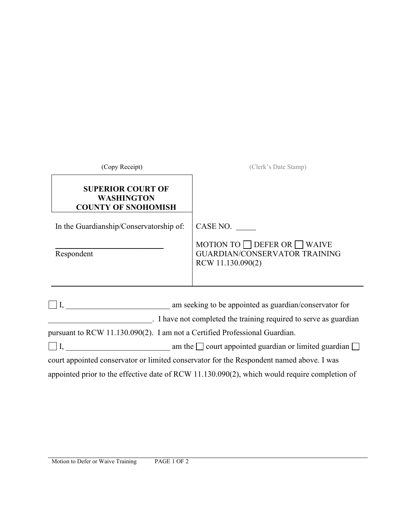| $\perp$ I, am seeking to be appointed as guardian/conservator for<br>. I have not completed the training required to serve as guardian |
|----------------------------------------------------------------------------------------------------------------------------------------|
|                                                                                                                                        |
| $\Box$ I, $\Box$ am the $\Box$ court appointed guardian or limited guardian $\Box$                                                     |
|                                                                                                                                        |

appointed prior to the effective date of RCW 11.130.090(2), which would require completion of